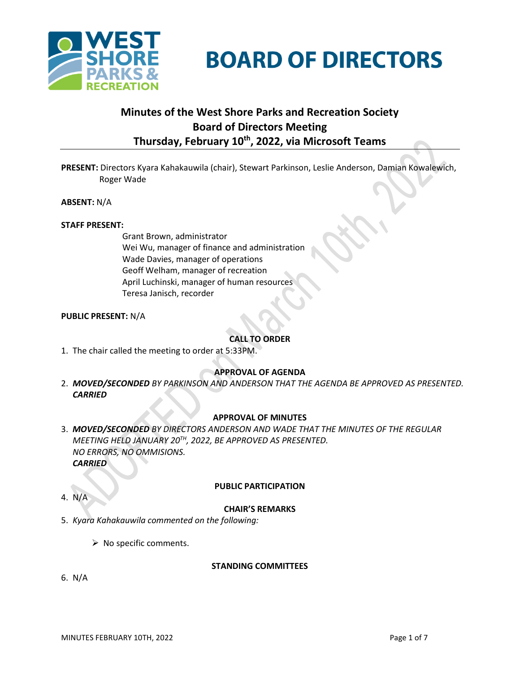



# **Minutes of the West Shore Parks and Recreation Society Board of Directors Meeting Thursday, February 10 th , 2022, via Microsoft Teams**

**PRESENT:** Directors Kyara Kahakauwila (chair), Stewart Parkinson, Leslie Anderson, Damian Kowalewich, Roger Wade

**ABSENT:** N/A

#### **STAFF PRESENT:**

Grant Brown, administrator Wei Wu, manager of finance and administration Wade Davies, manager of operations Geoff Welham, manager of recreation April Luchinski, manager of human resources Teresa Janisch, recorder

#### **PUBLIC PRESENT:** N/A

#### **CALL TO ORDER**

1. The chair called the meeting to order at 5:33PM.

#### **APPROVAL OF AGENDA**

2. *MOVED/SECONDED BY PARKINSON AND ANDERSON THAT THE AGENDA BE APPROVED AS PRESENTED. CARRIED*

#### **APPROVAL OF MINUTES**

3. *MOVED/SECONDED BY DIRECTORS ANDERSON AND WADE THAT THE MINUTES OF THE REGULAR MEETING HELD JANUARY 20TH, 2022, BE APPROVED AS PRESENTED. NO ERRORS, NO OMMISIONS. CARRIED*

#### **PUBLIC PARTICIPATION**

4. N/A

#### **CHAIR'S REMARKS**

- 5. *Kyara Kahakauwila commented on the following:*
	- $\triangleright$  No specific comments.

#### **STANDING COMMITTEES**

6. N/A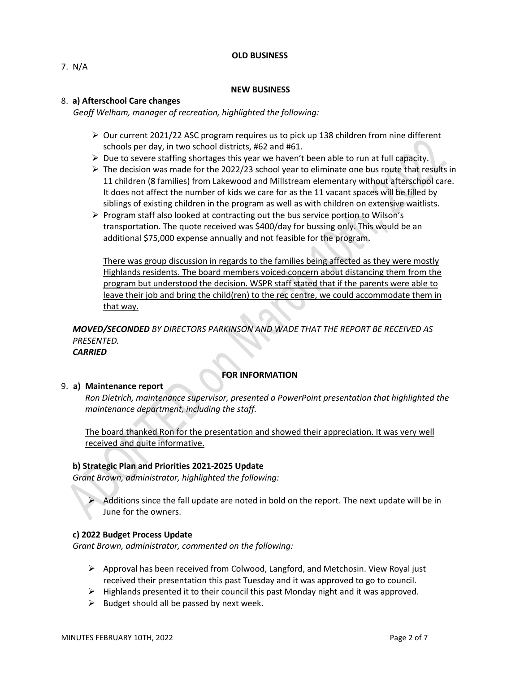#### **OLD BUSINESS**

#### **NEW BUSINESS**

#### 8. **a) Afterschool Care changes**

*Geoff Welham, manager of recreation, highlighted the following:*

- $\triangleright$  Our current 2021/22 ASC program requires us to pick up 138 children from nine different schools per day, in two school districts, #62 and #61.
- $\triangleright$  Due to severe staffing shortages this year we haven't been able to run at full capacity.
- $\triangleright$  The decision was made for the 2022/23 school year to eliminate one bus route that results in 11 children (8 families) from Lakewood and Millstream elementary without afterschool care. It does not affect the number of kids we care for as the 11 vacant spaces will be filled by siblings of existing children in the program as well as with children on extensive waitlists.
- ➢ Program staff also looked at contracting out the bus service portion to Wilson's transportation. The quote received was \$400/day for bussing only. This would be an additional \$75,000 expense annually and not feasible for the program.

There was group discussion in regards to the families being affected as they were mostly Highlands residents. The board members voiced concern about distancing them from the program but understood the decision. WSPR staff stated that if the parents were able to leave their job and bring the child(ren) to the rec centre, we could accommodate them in that way.

*MOVED/SECONDED BY DIRECTORS PARKINSON AND WADE THAT THE REPORT BE RECEIVED AS PRESENTED.*

## *CARRIED*

## **FOR INFORMATION**

#### 9. **a) Maintenance report**

*Ron Dietrich, maintenance supervisor, presented a PowerPoint presentation that highlighted the maintenance department, including the staff.*

The board thanked Ron for the presentation and showed their appreciation. It was very well received and quite informative.

#### **b) Strategic Plan and Priorities 2021-2025 Update**

*Grant Brown, administrator, highlighted the following:*

 $\triangleright$  Additions since the fall update are noted in bold on the report. The next update will be in June for the owners.

## **c) 2022 Budget Process Update**

*Grant Brown, administrator, commented on the following:*

- $\triangleright$  Approval has been received from Colwood, Langford, and Metchosin. View Royal just received their presentation this past Tuesday and it was approved to go to council.
- $\triangleright$  Highlands presented it to their council this past Monday night and it was approved.
- $\triangleright$  Budget should all be passed by next week.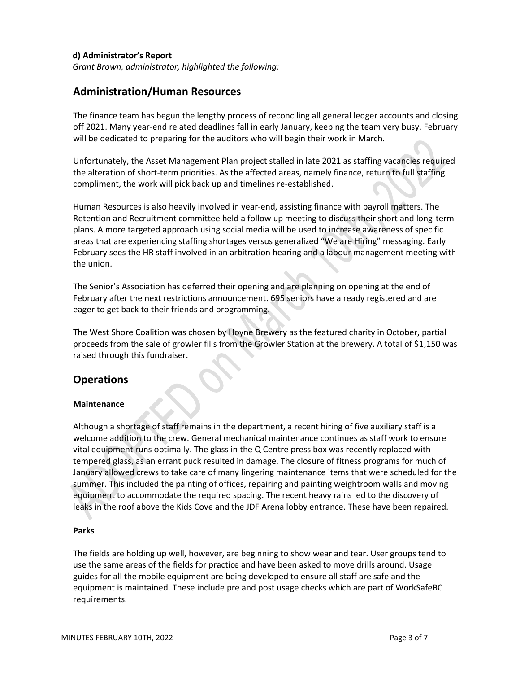## **d) Administrator's Report**

*Grant Brown, administrator, highlighted the following:*

## **Administration/Human Resources**

The finance team has begun the lengthy process of reconciling all general ledger accounts and closing off 2021. Many year-end related deadlines fall in early January, keeping the team very busy. February will be dedicated to preparing for the auditors who will begin their work in March.

Unfortunately, the Asset Management Plan project stalled in late 2021 as staffing vacancies required the alteration of short-term priorities. As the affected areas, namely finance, return to full staffing compliment, the work will pick back up and timelines re-established.

Human Resources is also heavily involved in year-end, assisting finance with payroll matters. The Retention and Recruitment committee held a follow up meeting to discuss their short and long-term plans. A more targeted approach using social media will be used to increase awareness of specific areas that are experiencing staffing shortages versus generalized "We are Hiring" messaging. Early February sees the HR staff involved in an arbitration hearing and a labour management meeting with the union.

The Senior's Association has deferred their opening and are planning on opening at the end of February after the next restrictions announcement. 695 seniors have already registered and are eager to get back to their friends and programming.

The West Shore Coalition was chosen by Hoyne Brewery as the featured charity in October, partial proceeds from the sale of growler fills from the Growler Station at the brewery. A total of \$1,150 was raised through this fundraiser.

## **Operations**

## **Maintenance**

Although a shortage of staff remains in the department, a recent hiring of five auxiliary staff is a welcome addition to the crew. General mechanical maintenance continues as staff work to ensure vital equipment runs optimally. The glass in the Q Centre press box was recently replaced with tempered glass, as an errant puck resulted in damage. The closure of fitness programs for much of January allowed crews to take care of many lingering maintenance items that were scheduled for the summer. This included the painting of offices, repairing and painting weightroom walls and moving equipment to accommodate the required spacing. The recent heavy rains led to the discovery of leaks in the roof above the Kids Cove and the JDF Arena lobby entrance. These have been repaired.

## **Parks**

The fields are holding up well, however, are beginning to show wear and tear. User groups tend to use the same areas of the fields for practice and have been asked to move drills around. Usage guides for all the mobile equipment are being developed to ensure all staff are safe and the equipment is maintained. These include pre and post usage checks which are part of WorkSafeBC requirements.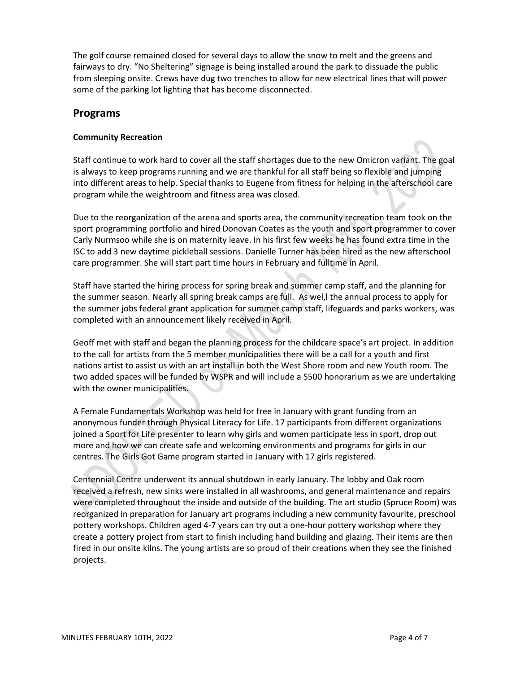The golf course remained closed for several days to allow the snow to melt and the greens and fairways to dry. "No Sheltering" signage is being installed around the park to dissuade the public from sleeping onsite. Crews have dug two trenches to allow for new electrical lines that will power some of the parking lot lighting that has become disconnected.

## **Programs**

## **Community Recreation**

Staff continue to work hard to cover all the staff shortages due to the new Omicron variant. The goal is always to keep programs running and we are thankful for all staff being so flexible and jumping into different areas to help. Special thanks to Eugene from fitness for helping in the afterschool care program while the weightroom and fitness area was closed.

Due to the reorganization of the arena and sports area, the community recreation team took on the sport programming portfolio and hired Donovan Coates as the youth and sport programmer to cover Carly Nurmsoo while she is on maternity leave. In his first few weeks he has found extra time in the ISC to add 3 new daytime pickleball sessions. Danielle Turner has been hired as the new afterschool care programmer. She will start part time hours in February and fulltime in April.

Staff have started the hiring process for spring break and summer camp staff, and the planning for the summer season. Nearly all spring break camps are full. As wel,l the annual process to apply for the summer jobs federal grant application for summer camp staff, lifeguards and parks workers, was completed with an announcement likely received in April.

Geoff met with staff and began the planning process for the childcare space's art project. In addition to the call for artists from the 5 member municipalities there will be a call for a youth and first nations artist to assist us with an art install in both the West Shore room and new Youth room. The two added spaces will be funded by WSPR and will include a \$500 honorarium as we are undertaking with the owner municipalities.

A Female Fundamentals Workshop was held for free in January with grant funding from an anonymous funder through Physical Literacy for Life. 17 participants from different organizations joined a Sport for Life presenter to learn why girls and women participate less in sport, drop out more and how we can create safe and welcoming environments and programs for girls in our centres. The Girls Got Game program started in January with 17 girls registered.

Centennial Centre underwent its annual shutdown in early January. The lobby and Oak room received a refresh, new sinks were installed in all washrooms, and general maintenance and repairs were completed throughout the inside and outside of the building. The art studio (Spruce Room) was reorganized in preparation for January art programs including a new community favourite, preschool pottery workshops. Children aged 4-7 years can try out a one-hour pottery workshop where they create a pottery project from start to finish including hand building and glazing. Their items are then fired in our onsite kilns. The young artists are so proud of their creations when they see the finished projects.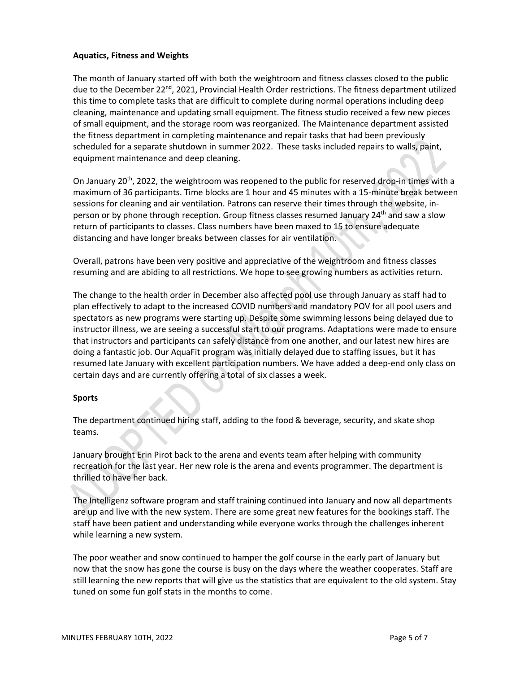## **Aquatics, Fitness and Weights**

The month of January started off with both the weightroom and fitness classes closed to the public due to the December 22<sup>nd</sup>, 2021, Provincial Health Order restrictions. The fitness department utilized this time to complete tasks that are difficult to complete during normal operations including deep cleaning, maintenance and updating small equipment. The fitness studio received a few new pieces of small equipment, and the storage room was reorganized. The Maintenance department assisted the fitness department in completing maintenance and repair tasks that had been previously scheduled for a separate shutdown in summer 2022. These tasks included repairs to walls, paint, equipment maintenance and deep cleaning.

On January 20<sup>th</sup>, 2022, the weightroom was reopened to the public for reserved drop-in times with a maximum of 36 participants. Time blocks are 1 hour and 45 minutes with a 15-minute break between sessions for cleaning and air ventilation. Patrons can reserve their times through the website, inperson or by phone through reception. Group fitness classes resumed January 24<sup>th</sup> and saw a slow return of participants to classes. Class numbers have been maxed to 15 to ensure adequate distancing and have longer breaks between classes for air ventilation.

Overall, patrons have been very positive and appreciative of the weightroom and fitness classes resuming and are abiding to all restrictions. We hope to see growing numbers as activities return.

The change to the health order in December also affected pool use through January as staff had to plan effectively to adapt to the increased COVID numbers and mandatory POV for all pool users and spectators as new programs were starting up. Despite some swimming lessons being delayed due to instructor illness, we are seeing a successful start to our programs. Adaptations were made to ensure that instructors and participants can safely distance from one another, and our latest new hires are doing a fantastic job. Our AquaFit program was initially delayed due to staffing issues, but it has resumed late January with excellent participation numbers. We have added a deep-end only class on certain days and are currently offering a total of six classes a week.

## **Sports**

The department continued hiring staff, adding to the food & beverage, security, and skate shop teams.

January brought Erin Pirot back to the arena and events team after helping with community recreation for the last year. Her new role is the arena and events programmer. The department is thrilled to have her back.

The Intelligenz software program and staff training continued into January and now all departments are up and live with the new system. There are some great new features for the bookings staff. The staff have been patient and understanding while everyone works through the challenges inherent while learning a new system.

The poor weather and snow continued to hamper the golf course in the early part of January but now that the snow has gone the course is busy on the days where the weather cooperates. Staff are still learning the new reports that will give us the statistics that are equivalent to the old system. Stay tuned on some fun golf stats in the months to come.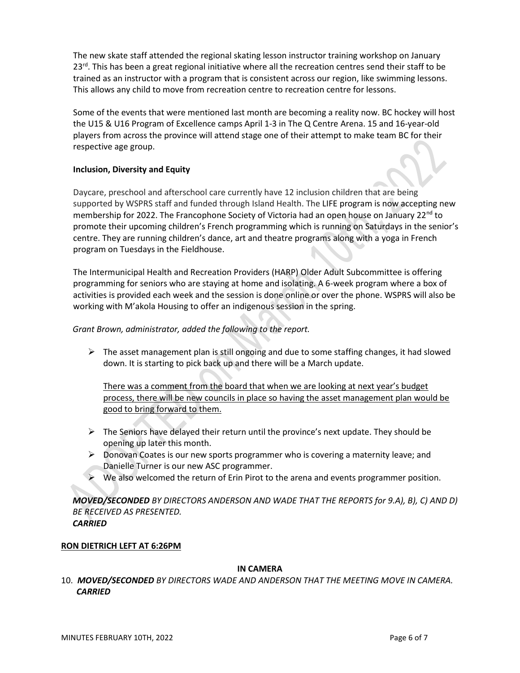The new skate staff attended the regional skating lesson instructor training workshop on January 23<sup>rd</sup>. This has been a great regional initiative where all the recreation centres send their staff to be trained as an instructor with a program that is consistent across our region, like swimming lessons. This allows any child to move from recreation centre to recreation centre for lessons.

Some of the events that were mentioned last month are becoming a reality now. BC hockey will host the U15 & U16 Program of Excellence camps April 1-3 in The Q Centre Arena. 15 and 16-year-old players from across the province will attend stage one of their attempt to make team BC for their respective age group.

## **Inclusion, Diversity and Equity**

Daycare, preschool and afterschool care currently have 12 inclusion children that are being supported by WSPRS staff and funded through Island Health. The LIFE program is now accepting new membership for 2022. The Francophone Society of Victoria had an open house on January 22<sup>nd</sup> to promote their upcoming children's French programming which is running on Saturdays in the senior's centre. They are running children's dance, art and theatre programs along with a yoga in French program on Tuesdays in the Fieldhouse.

The Intermunicipal Health and Recreation Providers (HARP) Older Adult Subcommittee is offering programming for seniors who are staying at home and isolating. A 6-week program where a box of activities is provided each week and the session is done online or over the phone. WSPRS will also be working with M'akola Housing to offer an indigenous session in the spring.

## *Grant Brown, administrator, added the following to the report.*

 $\triangleright$  The asset management plan is still ongoing and due to some staffing changes, it had slowed down. It is starting to pick back up and there will be a March update.

There was a comment from the board that when we are looking at next year's budget process, there will be new councils in place so having the asset management plan would be good to bring forward to them.

- $\triangleright$  The Seniors have delayed their return until the province's next update. They should be opening up later this month.
- $\triangleright$  Donovan Coates is our new sports programmer who is covering a maternity leave; and Danielle Turner is our new ASC programmer.
- $\triangleright$  We also welcomed the return of Erin Pirot to the arena and events programmer position.

*MOVED/SECONDED BY DIRECTORS ANDERSON AND WADE THAT THE REPORTS for 9.A), B), C) AND D) BE RECEIVED AS PRESENTED. CARRIED*

## **RON DIETRICH LEFT AT 6:26PM**

## **IN CAMERA**

10. *MOVED/SECONDED BY DIRECTORS WADE AND ANDERSON THAT THE MEETING MOVE IN CAMERA. CARRIED*